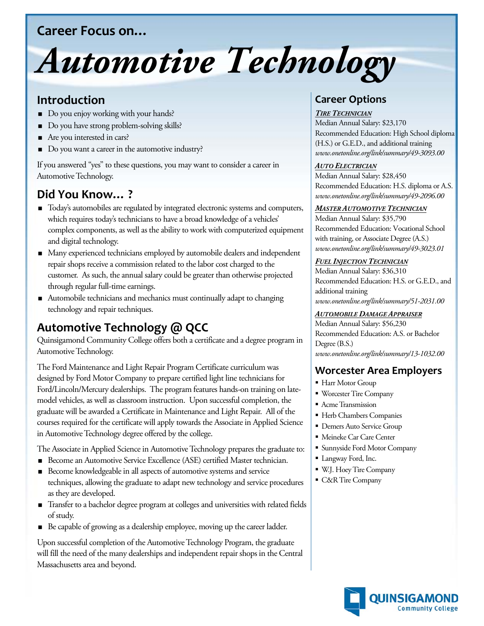# **Career Focus on…**

# *Automotive Technology*

# **Introduction**

- Do you enjoy working with your hands?
- Do you have strong problem-solving skills?
- Are you interested in cars?
- Do you want a career in the automotive industry?

If you answered "yes" to these questions, you may want to consider a career in Automotive Technology.

# **Did You Know… ?**

- $\blacksquare$  Today's automobiles are regulated by integrated electronic systems and computers, which requires today's technicians to have a broad knowledge of a vehicles' complex components, as well as the ability to work with computerized equipment and digital technology.
- Many experienced technicians employed by automobile dealers and independent repair shops receive a commission related to the labor cost charged to the customer. As such, the annual salary could be greater than otherwise projected through regular full-time earnings.
- Automobile technicians and mechanics must continually adapt to changing technology and repair techniques.

# **Automotive Technology @ QCC**

Quinsigamond Community College offers both a certificate and a degree program in Automotive Technology.

The Ford Maintenance and Light Repair Program Certificate curriculum was designed by Ford Motor Company to prepare certified light line technicians for Ford/Lincoln/Mercury dealerships. The program features hands-on training on latemodel vehicles, as well as classroom instruction. Upon successful completion, the graduate will be awarded a Certificate in Maintenance and Light Repair. All of the courses required for the certificate will apply towards the Associate in Applied Science in Automotive Technology degree offered by the college.

The Associate in Applied Science in Automotive Technology prepares the graduate to:

- Become an Automotive Service Excellence (ASE) certified Master technician.
- Become knowledgeable in all aspects of automotive systems and service techniques, allowing the graduate to adapt new technology and service procedures as they are developed.
- Transfer to a bachelor degree program at colleges and universities with related fields of study.
- Be capable of growing as a dealership employee, moving up the career ladder.

Upon successful completion of the Automotive Technology Program, the graduate will fill the need of the many dealerships and independent repair shops in the Central Massachusetts area and beyond.

# **Career Options**

#### *TIRE TECHNICIAN*

Median Annual Salary: \$23,170 Recommended Education: High School diploma (H.S.) or G.E.D., and additional training *www.onetonline.org/link/summary/49-3093.00*

#### *AUTO ELECTRICIAN*

Median Annual Salary: \$28,450 Recommended Education: H.S. diploma or A.S. *www.onetonline.org/link/summary/49-2096.00*

#### *MASTER AUTOMOTIVE TECHNICIAN*

Median Annual Salary: \$35,790 Recommended Education: Vocational School with training, or Associate Degree (A.S.) *www.onetonline.org/link/summary/49-3023.01*

#### *FUEL INJECTION TECHNICIAN*

Median Annual Salary: \$36,310 Recommended Education: H.S. or G.E.D., and additional training *www.onetonline.org/link/summary/51-2031.00*

#### *AUTOMOBILE DAMAGE APPRAISER*

Median Annual Salary: \$56,230 Recommended Education: A.S. or Bachelor Degree (B.S.) *www.onetonline.org/link/summary/13-1032.00*

## **Worcester Area Employers**

- Harr Motor Group
- Worcester Tire Company
- **Acme Transmission**
- Herb Chambers Companies
- **Demers Auto Service Group**
- Meineke Car Care Center
- Sunnyside Ford Motor Company
- Langway Ford, Inc.
- W.J. Hoey Tire Company
- C&R Tire Company